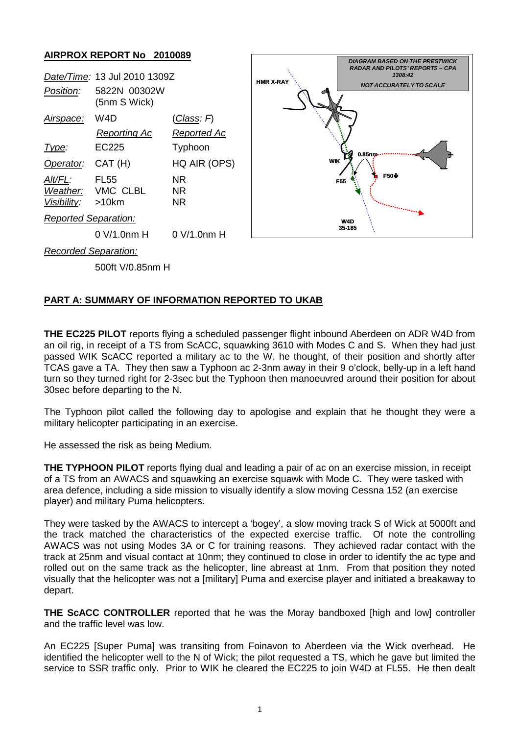# **AIRPROX REPORT No 2010089**



500ft V/0.85nm H

## **PART A: SUMMARY OF INFORMATION REPORTED TO UKAB**

**THE EC225 PILOT** reports flying a scheduled passenger flight inbound Aberdeen on ADR W4D from an oil rig, in receipt of a TS from ScACC, squawking 3610 with Modes C and S. When they had just passed WIK ScACC reported a military ac to the W, he thought, of their position and shortly after TCAS gave a TA. They then saw a Typhoon ac 2-3nm away in their 9 o'clock, belly-up in a left hand turn so they turned right for 2-3sec but the Typhoon then manoeuvred around their position for about 30sec before departing to the N.

The Typhoon pilot called the following day to apologise and explain that he thought they were a military helicopter participating in an exercise.

He assessed the risk as being Medium.

**THE TYPHOON PILOT** reports flying dual and leading a pair of ac on an exercise mission, in receipt of a TS from an AWACS and squawking an exercise squawk with Mode C. They were tasked with area defence, including a side mission to visually identify a slow moving Cessna 152 (an exercise player) and military Puma helicopters.

They were tasked by the AWACS to intercept a 'bogey', a slow moving track S of Wick at 5000ft and the track matched the characteristics of the expected exercise traffic. Of note the controlling AWACS was not using Modes 3A or C for training reasons. They achieved radar contact with the track at 25nm and visual contact at 10nm; they continued to close in order to identify the ac type and rolled out on the same track as the helicopter, line abreast at 1nm. From that position they noted visually that the helicopter was not a [military] Puma and exercise player and initiated a breakaway to depart.

**THE ScACC CONTROLLER** reported that he was the Moray bandboxed [high and low] controller and the traffic level was low.

An EC225 [Super Puma] was transiting from Foinavon to Aberdeen via the Wick overhead. He identified the helicopter well to the N of Wick; the pilot requested a TS, which he gave but limited the service to SSR traffic only. Prior to WIK he cleared the EC225 to join W4D at FL55. He then dealt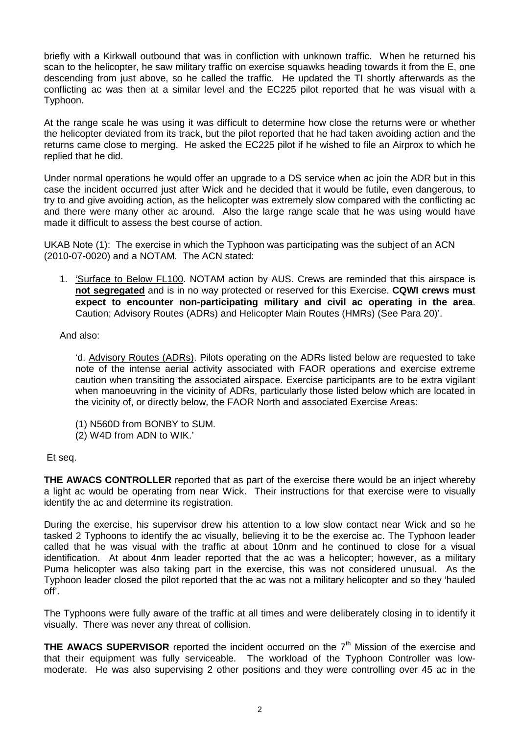briefly with a Kirkwall outbound that was in confliction with unknown traffic. When he returned his scan to the helicopter, he saw military traffic on exercise squawks heading towards it from the E, one descending from just above, so he called the traffic. He updated the TI shortly afterwards as the conflicting ac was then at a similar level and the EC225 pilot reported that he was visual with a Typhoon.

At the range scale he was using it was difficult to determine how close the returns were or whether the helicopter deviated from its track, but the pilot reported that he had taken avoiding action and the returns came close to merging. He asked the EC225 pilot if he wished to file an Airprox to which he replied that he did.

Under normal operations he would offer an upgrade to a DS service when ac join the ADR but in this case the incident occurred just after Wick and he decided that it would be futile, even dangerous, to try to and give avoiding action, as the helicopter was extremely slow compared with the conflicting ac and there were many other ac around. Also the large range scale that he was using would have made it difficult to assess the best course of action.

UKAB Note (1): The exercise in which the Typhoon was participating was the subject of an ACN (2010-07-0020) and a NOTAM. The ACN stated:

1. 'Surface to Below FL100. NOTAM action by AUS. Crews are reminded that this airspace is **not segregated** and is in no way protected or reserved for this Exercise. **CQWI crews must expect to encounter non-participating military and civil ac operating in the area**. Caution; Advisory Routes (ADRs) and Helicopter Main Routes (HMRs) (See Para 20)'.

And also:

'd. Advisory Routes (ADRs). Pilots operating on the ADRs listed below are requested to take note of the intense aerial activity associated with FAOR operations and exercise extreme caution when transiting the associated airspace. Exercise participants are to be extra vigilant when manoeuvring in the vicinity of ADRs, particularly those listed below which are located in the vicinity of, or directly below, the FAOR North and associated Exercise Areas:

- (1) N560D from BONBY to SUM.
- (2) W4D from ADN to WIK.'

### Et seq.

**THE AWACS CONTROLLER** reported that as part of the exercise there would be an inject whereby a light ac would be operating from near Wick. Their instructions for that exercise were to visually identify the ac and determine its registration.

During the exercise, his supervisor drew his attention to a low slow contact near Wick and so he tasked 2 Typhoons to identify the ac visually, believing it to be the exercise ac. The Typhoon leader called that he was visual with the traffic at about 10nm and he continued to close for a visual identification. At about 4nm leader reported that the ac was a helicopter; however, as a military Puma helicopter was also taking part in the exercise, this was not considered unusual. As the Typhoon leader closed the pilot reported that the ac was not a military helicopter and so they 'hauled off'.

The Typhoons were fully aware of the traffic at all times and were deliberately closing in to identify it visually. There was never any threat of collision.

**THE AWACS SUPERVISOR** reported the incident occurred on the 7<sup>th</sup> Mission of the exercise and that their equipment was fully serviceable. The workload of the Typhoon Controller was lowmoderate. He was also supervising 2 other positions and they were controlling over 45 ac in the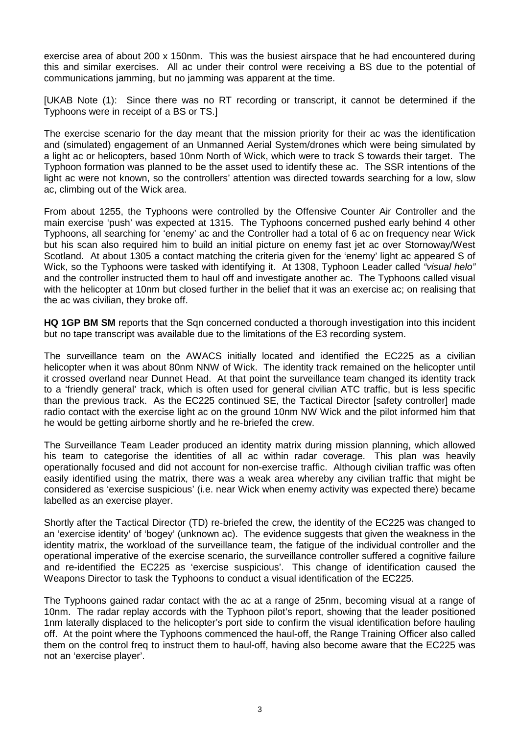exercise area of about 200 x 150nm. This was the busiest airspace that he had encountered during this and similar exercises. All ac under their control were receiving a BS due to the potential of communications jamming, but no jamming was apparent at the time.

[UKAB Note (1): Since there was no RT recording or transcript, it cannot be determined if the Typhoons were in receipt of a BS or TS.]

The exercise scenario for the day meant that the mission priority for their ac was the identification and (simulated) engagement of an Unmanned Aerial System/drones which were being simulated by a light ac or helicopters, based 10nm North of Wick, which were to track S towards their target. The Typhoon formation was planned to be the asset used to identify these ac. The SSR intentions of the light ac were not known, so the controllers' attention was directed towards searching for a low, slow ac, climbing out of the Wick area.

From about 1255, the Typhoons were controlled by the Offensive Counter Air Controller and the main exercise 'push' was expected at 1315. The Typhoons concerned pushed early behind 4 other Typhoons, all searching for 'enemy' ac and the Controller had a total of 6 ac on frequency near Wick but his scan also required him to build an initial picture on enemy fast jet ac over Stornoway/West Scotland. At about 1305 a contact matching the criteria given for the 'enemy' light ac appeared S of Wick, so the Typhoons were tasked with identifying it. At 1308, Typhoon Leader called *"visual helo"* and the controller instructed them to haul off and investigate another ac. The Typhoons called visual with the helicopter at 10nm but closed further in the belief that it was an exercise ac; on realising that the ac was civilian, they broke off.

**HQ 1GP BM SM** reports that the Sqn concerned conducted a thorough investigation into this incident but no tape transcript was available due to the limitations of the E3 recording system.

The surveillance team on the AWACS initially located and identified the EC225 as a civilian helicopter when it was about 80nm NNW of Wick. The identity track remained on the helicopter until it crossed overland near Dunnet Head. At that point the surveillance team changed its identity track to a 'friendly general' track, which is often used for general civilian ATC traffic, but is less specific than the previous track. As the EC225 continued SE, the Tactical Director [safety controller] made radio contact with the exercise light ac on the ground 10nm NW Wick and the pilot informed him that he would be getting airborne shortly and he re-briefed the crew.

The Surveillance Team Leader produced an identity matrix during mission planning, which allowed his team to categorise the identities of all ac within radar coverage. This plan was heavily operationally focused and did not account for non-exercise traffic. Although civilian traffic was often easily identified using the matrix, there was a weak area whereby any civilian traffic that might be considered as 'exercise suspicious' (i.e. near Wick when enemy activity was expected there) became labelled as an exercise player.

Shortly after the Tactical Director (TD) re-briefed the crew, the identity of the EC225 was changed to an 'exercise identity' of 'bogey' (unknown ac). The evidence suggests that given the weakness in the identity matrix, the workload of the surveillance team, the fatigue of the individual controller and the operational imperative of the exercise scenario, the surveillance controller suffered a cognitive failure and re-identified the EC225 as 'exercise suspicious'. This change of identification caused the Weapons Director to task the Typhoons to conduct a visual identification of the EC225.

The Typhoons gained radar contact with the ac at a range of 25nm, becoming visual at a range of 10nm. The radar replay accords with the Typhoon pilot's report, showing that the leader positioned 1nm laterally displaced to the helicopter's port side to confirm the visual identification before hauling off. At the point where the Typhoons commenced the haul-off, the Range Training Officer also called them on the control freq to instruct them to haul-off, having also become aware that the EC225 was not an 'exercise player'.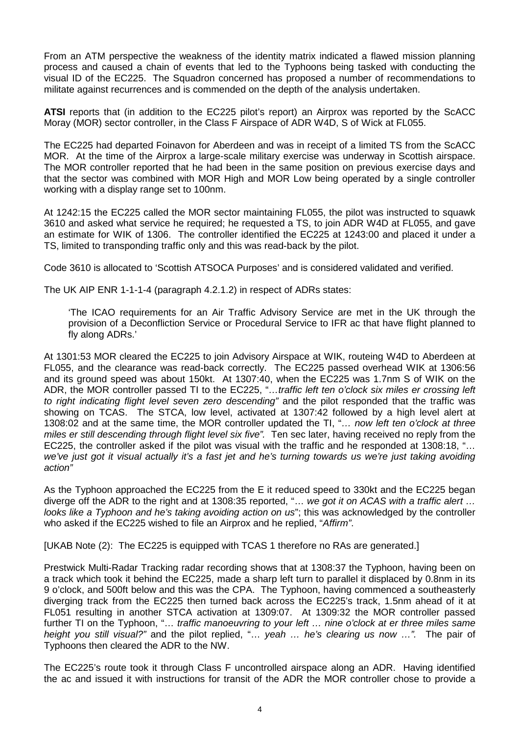From an ATM perspective the weakness of the identity matrix indicated a flawed mission planning process and caused a chain of events that led to the Typhoons being tasked with conducting the visual ID of the EC225. The Squadron concerned has proposed a number of recommendations to militate against recurrences and is commended on the depth of the analysis undertaken.

**ATSI** reports that (in addition to the EC225 pilot's report) an Airprox was reported by the ScACC Moray (MOR) sector controller, in the Class F Airspace of ADR W4D, S of Wick at FL055.

The EC225 had departed Foinavon for Aberdeen and was in receipt of a limited TS from the ScACC MOR. At the time of the Airprox a large-scale military exercise was underway in Scottish airspace. The MOR controller reported that he had been in the same position on previous exercise days and that the sector was combined with MOR High and MOR Low being operated by a single controller working with a display range set to 100nm.

At 1242:15 the EC225 called the MOR sector maintaining FL055, the pilot was instructed to squawk 3610 and asked what service he required; he requested a TS, to join ADR W4D at FL055, and gave an estimate for WIK of 1306. The controller identified the EC225 at 1243:00 and placed it under a TS, limited to transponding traffic only and this was read-back by the pilot.

Code 3610 is allocated to 'Scottish ATSOCA Purposes' and is considered validated and verified.

The UK AIP ENR 1-1-1-4 (paragraph 4.2.1.2) in respect of ADRs states:

'The ICAO requirements for an Air Traffic Advisory Service are met in the UK through the provision of a Deconfliction Service or Procedural Service to IFR ac that have flight planned to fly along ADRs.'

At 1301:53 MOR cleared the EC225 to join Advisory Airspace at WIK, routeing W4D to Aberdeen at FL055, and the clearance was read-back correctly. The EC225 passed overhead WIK at 1306:56 and its ground speed was about 150kt. At 1307:40, when the EC225 was 1.7nm S of WIK on the ADR, the MOR controller passed TI to the EC225, "*…traffic left ten o'clock six miles er crossing left to right indicating flight level seven zero descending"* and the pilot responded that the traffic was showing on TCAS. The STCA, low level, activated at 1307:42 followed by a high level alert at 1308:02 and at the same time, the MOR controller updated the TI, "*… now left ten o'clock at three miles er still descending through flight level six five".* Ten sec later, having received no reply from the EC225, the controller asked if the pilot was visual with the traffic and he responded at 1308:18, "… *we've just got it visual actually it's a fast jet and he's turning towards us we're just taking avoiding action"*

As the Typhoon approached the EC225 from the E it reduced speed to 330kt and the EC225 began diverge off the ADR to the right and at 1308:35 reported, "… *we got it on ACAS with a traffic alert … looks like a Typhoon and he's taking avoiding action on us*"; this was acknowledged by the controller who asked if the EC225 wished to file an Airprox and he replied, "*Affirm"*.

[UKAB Note (2): The EC225 is equipped with TCAS 1 therefore no RAs are generated.]

Prestwick Multi-Radar Tracking radar recording shows that at 1308:37 the Typhoon, having been on a track which took it behind the EC225, made a sharp left turn to parallel it displaced by 0.8nm in its 9 o'clock, and 500ft below and this was the CPA. The Typhoon, having commenced a southeasterly diverging track from the EC225 then turned back across the EC225's track, 1.5nm ahead of it at FL051 resulting in another STCA activation at 1309:07. At 1309:32 the MOR controller passed further TI on the Typhoon, "... *traffic manoeuvring to your left ... nine o'clock at er three miles same height you still visual?"* and the pilot replied, "… *yeah … he's clearing us now …".* The pair of Typhoons then cleared the ADR to the NW.

The EC225's route took it through Class F uncontrolled airspace along an ADR. Having identified the ac and issued it with instructions for transit of the ADR the MOR controller chose to provide a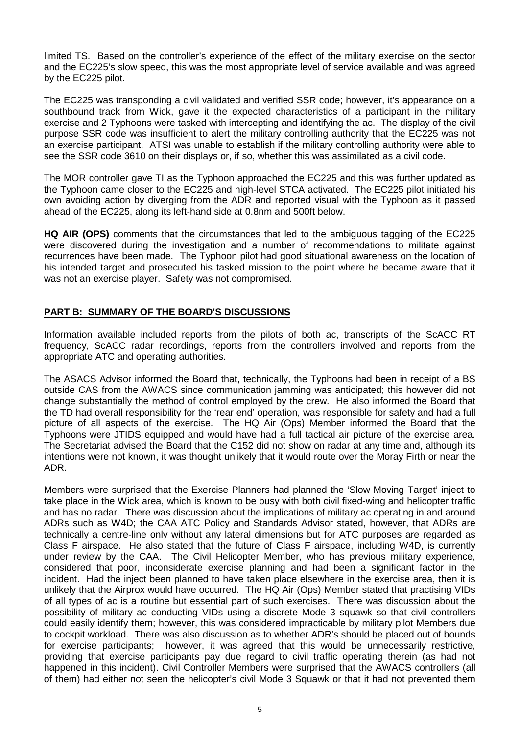limited TS. Based on the controller's experience of the effect of the military exercise on the sector and the EC225's slow speed, this was the most appropriate level of service available and was agreed by the EC225 pilot.

The EC225 was transponding a civil validated and verified SSR code; however, it's appearance on a southbound track from Wick, gave it the expected characteristics of a participant in the military exercise and 2 Typhoons were tasked with intercepting and identifying the ac. The display of the civil purpose SSR code was insufficient to alert the military controlling authority that the EC225 was not an exercise participant. ATSI was unable to establish if the military controlling authority were able to see the SSR code 3610 on their displays or, if so, whether this was assimilated as a civil code.

The MOR controller gave TI as the Typhoon approached the EC225 and this was further updated as the Typhoon came closer to the EC225 and high-level STCA activated. The EC225 pilot initiated his own avoiding action by diverging from the ADR and reported visual with the Typhoon as it passed ahead of the EC225, along its left-hand side at 0.8nm and 500ft below.

**HQ AIR (OPS)** comments that the circumstances that led to the ambiguous tagging of the EC225 were discovered during the investigation and a number of recommendations to militate against recurrences have been made. The Typhoon pilot had good situational awareness on the location of his intended target and prosecuted his tasked mission to the point where he became aware that it was not an exercise player. Safety was not compromised.

## **PART B: SUMMARY OF THE BOARD'S DISCUSSIONS**

Information available included reports from the pilots of both ac, transcripts of the ScACC RT frequency, ScACC radar recordings, reports from the controllers involved and reports from the appropriate ATC and operating authorities.

The ASACS Advisor informed the Board that, technically, the Typhoons had been in receipt of a BS outside CAS from the AWACS since communication jamming was anticipated; this however did not change substantially the method of control employed by the crew. He also informed the Board that the TD had overall responsibility for the 'rear end' operation, was responsible for safety and had a full picture of all aspects of the exercise. The HQ Air (Ops) Member informed the Board that the Typhoons were JTIDS equipped and would have had a full tactical air picture of the exercise area. The Secretariat advised the Board that the C152 did not show on radar at any time and, although its intentions were not known, it was thought unlikely that it would route over the Moray Firth or near the ADR.

Members were surprised that the Exercise Planners had planned the 'Slow Moving Target' inject to take place in the Wick area, which is known to be busy with both civil fixed-wing and helicopter traffic and has no radar. There was discussion about the implications of military ac operating in and around ADRs such as W4D; the CAA ATC Policy and Standards Advisor stated, however, that ADRs are technically a centre-line only without any lateral dimensions but for ATC purposes are regarded as Class F airspace. He also stated that the future of Class F airspace, including W4D, is currently under review by the CAA. The Civil Helicopter Member, who has previous military experience, considered that poor, inconsiderate exercise planning and had been a significant factor in the incident. Had the inject been planned to have taken place elsewhere in the exercise area, then it is unlikely that the Airprox would have occurred. The HQ Air (Ops) Member stated that practising VIDs of all types of ac is a routine but essential part of such exercises. There was discussion about the possibility of military ac conducting VIDs using a discrete Mode 3 squawk so that civil controllers could easily identify them; however, this was considered impracticable by military pilot Members due to cockpit workload. There was also discussion as to whether ADR's should be placed out of bounds for exercise participants; however, it was agreed that this would be unnecessarily restrictive, providing that exercise participants pay due regard to civil traffic operating therein (as had not happened in this incident). Civil Controller Members were surprised that the AWACS controllers (all of them) had either not seen the helicopter's civil Mode 3 Squawk or that it had not prevented them